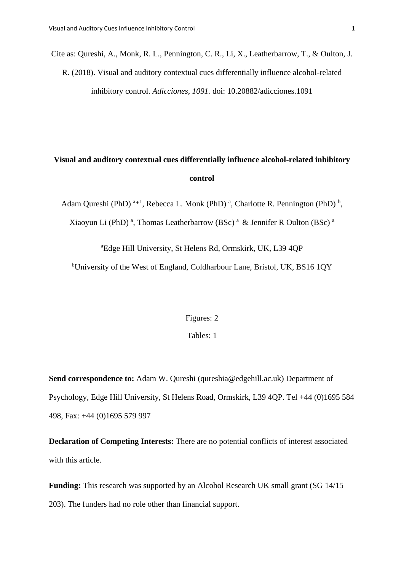Cite as: Qureshi, A., Monk, R. L., Pennington, C. R., Li, X., Leatherbarrow, T., & Oulton, J. R. (2018). Visual and auditory contextual cues differentially influence alcohol-related inhibitory control. *Adicciones, 1091.* doi: 10.20882/adicciones.1091

# **Visual and auditory contextual cues differentially influence alcohol-related inhibitory control**

Adam Qureshi (PhD)<sup> $a*1$ </sup>, Rebecca L. Monk (PhD)<sup>a</sup>, Charlotte R. Pennington (PhD)<sup>b</sup>,

Xiaoyun Li (PhD)<sup>a</sup>, Thomas Leatherbarrow (BSc)<sup>a</sup> & Jennifer R Oulton (BSc)<sup>a</sup>

<sup>a</sup>Edge Hill University, St Helens Rd, Ormskirk, UK, L39 4QP

<sup>b</sup>University of the West of England, Coldharbour Lane, Bristol, UK, BS16 1QY

# Figures: 2

# Tables: 1

**Send correspondence to:** Adam W. Qureshi (qureshia@edgehill.ac.uk) Department of Psychology, Edge Hill University, St Helens Road, Ormskirk, L39 4QP. Tel +44 (0)1695 584 498, Fax: +44 (0)1695 579 997

**Declaration of Competing Interests:** There are no potential conflicts of interest associated with this article.

**Funding:** This research was supported by an Alcohol Research UK small grant (SG 14/15) 203). The funders had no role other than financial support.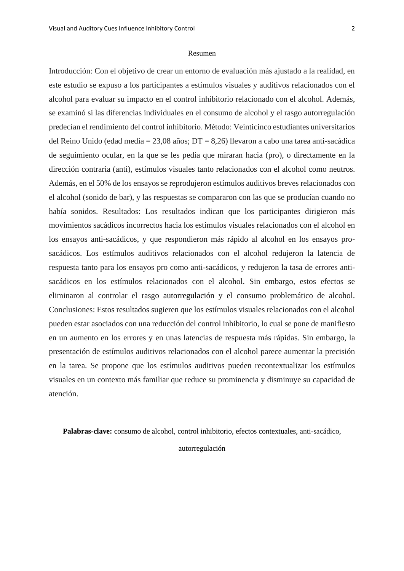#### Resumen

Introducción: Con el objetivo de crear un entorno de evaluación más ajustado a la realidad, en este estudio se expuso a los participantes a estímulos visuales y auditivos relacionados con el alcohol para evaluar su impacto en el control inhibitorio relacionado con el alcohol. Además, se examinó si las diferencias individuales en el consumo de alcohol y el rasgo autorregulación predecían el rendimiento del control inhibitorio. Método: Veinticinco estudiantes universitarios del Reino Unido (edad media = 23,08 años; DT = 8,26) llevaron a cabo una tarea anti-sacádica de seguimiento ocular, en la que se les pedía que miraran hacia (pro), o directamente en la dirección contraria (anti), estímulos visuales tanto relacionados con el alcohol como neutros. Además, en el 50% de los ensayos se reprodujeron estímulos auditivos breves relacionados con el alcohol (sonido de bar), y las respuestas se compararon con las que se producían cuando no había sonidos. Resultados: Los resultados indican que los participantes dirigieron más movimientos sacádicos incorrectos hacia los estímulos visuales relacionados con el alcohol en los ensayos anti-sacádicos, y que respondieron más rápido al alcohol en los ensayos prosacádicos. Los estímulos auditivos relacionados con el alcohol redujeron la latencia de respuesta tanto para los ensayos pro como anti-sacádicos, y redujeron la tasa de errores antisacádicos en los estímulos relacionados con el alcohol. Sin embargo, estos efectos se eliminaron al controlar el rasgo autorregulación y el consumo problemático de alcohol. Conclusiones: Estos resultados sugieren que los estímulos visuales relacionados con el alcohol pueden estar asociados con una reducción del control inhibitorio, lo cual se pone de manifiesto en un aumento en los errores y en unas latencias de respuesta más rápidas. Sin embargo, la presentación de estímulos auditivos relacionados con el alcohol parece aumentar la precisión en la tarea. Se propone que los estímulos auditivos pueden recontextualizar los estímulos visuales en un contexto más familiar que reduce su prominencia y disminuye su capacidad de atención.

**Palabras-clave:** consumo de alcohol, control inhibitorio, efectos contextuales, anti-sacádico,

#### autorregulación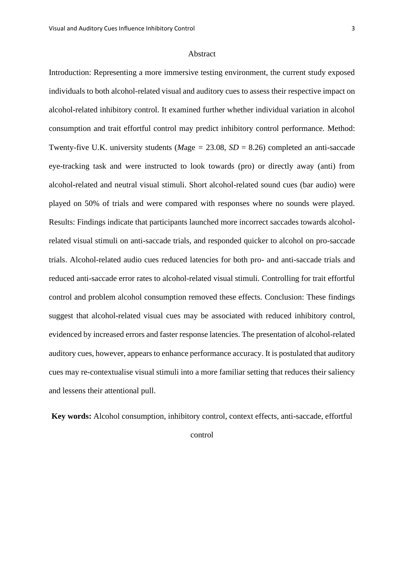#### Abstract

Introduction: Representing a more immersive testing environment, the current study exposed individuals to both alcohol-related visual and auditory cues to assess their respective impact on alcohol-related inhibitory control. It examined further whether individual variation in alcohol consumption and trait effortful control may predict inhibitory control performance. Method: Twenty-five U.K. university students (*M*age *=* 23.08, *SD* = 8.26) completed an anti-saccade eye-tracking task and were instructed to look towards (pro) or directly away (anti) from alcohol-related and neutral visual stimuli. Short alcohol-related sound cues (bar audio) were played on 50% of trials and were compared with responses where no sounds were played. Results: Findings indicate that participants launched more incorrect saccades towards alcoholrelated visual stimuli on anti-saccade trials, and responded quicker to alcohol on pro-saccade trials. Alcohol-related audio cues reduced latencies for both pro- and anti-saccade trials and reduced anti-saccade error rates to alcohol-related visual stimuli. Controlling for trait effortful control and problem alcohol consumption removed these effects. Conclusion: These findings suggest that alcohol-related visual cues may be associated with reduced inhibitory control, evidenced by increased errors and faster response latencies. The presentation of alcohol-related auditory cues, however, appears to enhance performance accuracy. It is postulated that auditory cues may re-contextualise visual stimuli into a more familiar setting that reduces their saliency and lessens their attentional pull.

**Key words:** Alcohol consumption, inhibitory control, context effects, anti-saccade, effortful

control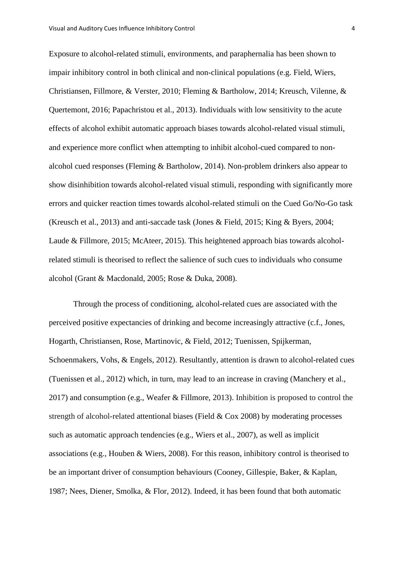Exposure to alcohol-related stimuli, environments, and paraphernalia has been shown to impair inhibitory control in both clinical and non-clinical populations (e.g. Field, Wiers, Christiansen, Fillmore, & Verster, 2010; Fleming & Bartholow, 2014; Kreusch, Vilenne, & Quertemont, 2016; Papachristou et al., 2013). Individuals with low sensitivity to the acute effects of alcohol exhibit automatic approach biases towards alcohol-related visual stimuli, and experience more conflict when attempting to inhibit alcohol-cued compared to nonalcohol cued responses (Fleming & Bartholow, 2014). Non-problem drinkers also appear to show disinhibition towards alcohol-related visual stimuli, responding with significantly more errors and quicker reaction times towards alcohol-related stimuli on the Cued Go/No-Go task (Kreusch et al., 2013) and anti-saccade task (Jones & Field, 2015; King & Byers, 2004; Laude & Fillmore, 2015; McAteer, 2015). This heightened approach bias towards alcoholrelated stimuli is theorised to reflect the salience of such cues to individuals who consume alcohol (Grant & Macdonald, 2005; Rose & Duka, 2008).

Through the process of conditioning, alcohol-related cues are associated with the perceived positive expectancies of drinking and become increasingly attractive (c.f., Jones, Hogarth, Christiansen, Rose, Martinovic, & Field, 2012; Tuenissen, Spijkerman, Schoenmakers, Vohs, & Engels, 2012). Resultantly, attention is drawn to alcohol-related cues (Tuenissen et al., 2012) which, in turn, may lead to an increase in craving (Manchery et al., 2017) and consumption (e.g., Weafer & Fillmore, 2013). Inhibition is proposed to control the strength of alcohol-related attentional biases (Field  $& Cox 2008$ ) by moderating processes such as automatic approach tendencies (e.g., Wiers et al., 2007), as well as implicit associations (e.g., Houben & Wiers, 2008). For this reason, inhibitory control is theorised to be an important driver of consumption behaviours (Cooney, Gillespie, Baker, & Kaplan, 1987; Nees, Diener, Smolka, & Flor, 2012). Indeed, it has been found that both automatic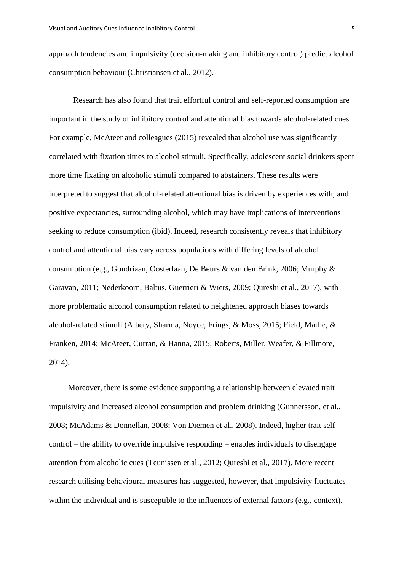approach tendencies and impulsivity (decision-making and inhibitory control) predict alcohol consumption behaviour (Christiansen et al., 2012).

Research has also found that trait effortful control and self-reported consumption are important in the study of inhibitory control and attentional bias towards alcohol-related cues. For example, McAteer and colleagues (2015) revealed that alcohol use was significantly correlated with fixation times to alcohol stimuli. Specifically, adolescent social drinkers spent more time fixating on alcoholic stimuli compared to abstainers. These results were interpreted to suggest that alcohol-related attentional bias is driven by experiences with, and positive expectancies, surrounding alcohol, which may have implications of interventions seeking to reduce consumption (ibid). Indeed, research consistently reveals that inhibitory control and attentional bias vary across populations with differing levels of alcohol consumption (e.g., Goudriaan, Oosterlaan, De Beurs & van den Brink, 2006; Murphy & Garavan, 2011; Nederkoorn, Baltus, Guerrieri & Wiers, 2009; Qureshi et al., 2017), with more problematic alcohol consumption related to heightened approach biases towards alcohol-related stimuli (Albery, Sharma, Noyce, Frings, & Moss, 2015; Field, Marhe, & Franken, 2014; McAteer, Curran, & Hanna, 2015; Roberts, Miller, Weafer, & Fillmore, 2014).

Moreover, there is some evidence supporting a relationship between elevated trait impulsivity and increased alcohol consumption and problem drinking (Gunnersson, et al., 2008; McAdams & Donnellan, 2008; Von Diemen et al., 2008). Indeed, higher trait selfcontrol – the ability to override impulsive responding – enables individuals to disengage attention from alcoholic cues (Teunissen et al., 2012; Qureshi et al., 2017). More recent research utilising behavioural measures has suggested, however, that impulsivity fluctuates within the individual and is susceptible to the influences of external factors (e.g., context).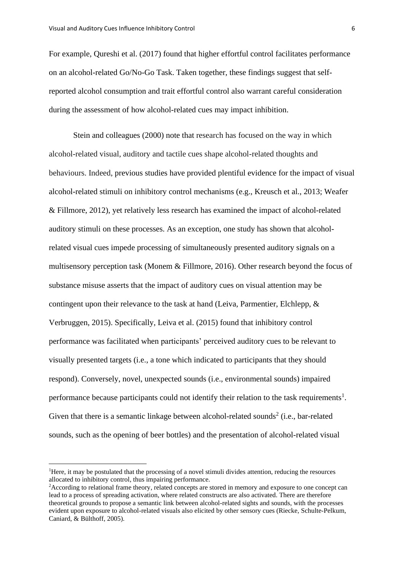For example, Qureshi et al. (2017) found that higher effortful control facilitates performance on an alcohol-related Go/No-Go Task. Taken together, these findings suggest that selfreported alcohol consumption and trait effortful control also warrant careful consideration during the assessment of how alcohol-related cues may impact inhibition.

Stein and colleagues (2000) note that research has focused on the way in which alcohol-related visual, auditory and tactile cues shape alcohol-related thoughts and behaviours. Indeed, previous studies have provided plentiful evidence for the impact of visual alcohol-related stimuli on inhibitory control mechanisms (e.g., Kreusch et al., 2013; Weafer & Fillmore, 2012), yet relatively less research has examined the impact of alcohol-related auditory stimuli on these processes. As an exception, one study has shown that alcoholrelated visual cues impede processing of simultaneously presented auditory signals on a multisensory perception task (Monem & Fillmore, 2016). Other research beyond the focus of substance misuse asserts that the impact of auditory cues on visual attention may be contingent upon their relevance to the task at hand (Leiva, Parmentier, Elchlepp, & Verbruggen, 2015). Specifically, Leiva et al. (2015) found that inhibitory control performance was facilitated when participants' perceived auditory cues to be relevant to visually presented targets (i.e., a tone which indicated to participants that they should respond). Conversely, novel, unexpected sounds (i.e., environmental sounds) impaired performance because participants could not identify their relation to the task requirements<sup>1</sup>. Given that there is a semantic linkage between alcohol-related sounds<sup>2</sup> (i.e., bar-related sounds, such as the opening of beer bottles) and the presentation of alcohol-related visual

<sup>&</sup>lt;sup>1</sup>Here, it may be postulated that the processing of a novel stimuli divides attention, reducing the resources allocated to inhibitory control, thus impairing performance.

<sup>2</sup>According to relational frame theory, related concepts are stored in memory and exposure to one concept can lead to a process of spreading activation, where related constructs are also activated. There are therefore theoretical grounds to propose a semantic link between alcohol-related sights and sounds, with the processes evident upon exposure to alcohol-related visuals also elicited by other sensory cues (Riecke, Schulte-Pelkum, Caniard, & Bülthoff, 2005).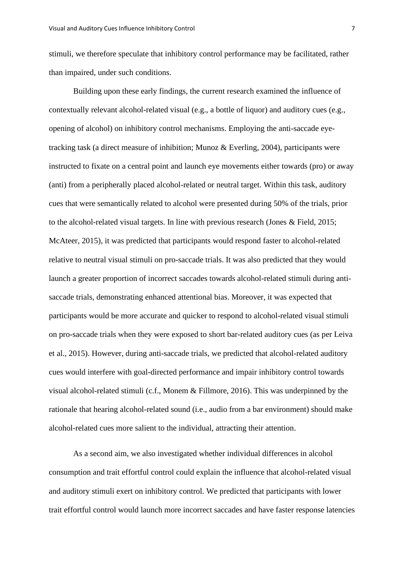stimuli, we therefore speculate that inhibitory control performance may be facilitated, rather than impaired, under such conditions.

Building upon these early findings, the current research examined the influence of contextually relevant alcohol-related visual (e.g., a bottle of liquor) and auditory cues (e.g., opening of alcohol) on inhibitory control mechanisms. Employing the anti-saccade eyetracking task (a direct measure of inhibition; Munoz & Everling, 2004), participants were instructed to fixate on a central point and launch eye movements either towards (pro) or away (anti) from a peripherally placed alcohol-related or neutral target. Within this task, auditory cues that were semantically related to alcohol were presented during 50% of the trials, prior to the alcohol-related visual targets. In line with previous research (Jones & Field, 2015; McAteer, 2015), it was predicted that participants would respond faster to alcohol-related relative to neutral visual stimuli on pro-saccade trials. It was also predicted that they would launch a greater proportion of incorrect saccades towards alcohol-related stimuli during antisaccade trials, demonstrating enhanced attentional bias. Moreover, it was expected that participants would be more accurate and quicker to respond to alcohol-related visual stimuli on pro-saccade trials when they were exposed to short bar-related auditory cues (as per Leiva et al., 2015). However, during anti-saccade trials, we predicted that alcohol-related auditory cues would interfere with goal-directed performance and impair inhibitory control towards visual alcohol-related stimuli (c.f., Monem & Fillmore, 2016). This was underpinned by the rationale that hearing alcohol-related sound (i.e., audio from a bar environment) should make alcohol-related cues more salient to the individual, attracting their attention.

As a second aim, we also investigated whether individual differences in alcohol consumption and trait effortful control could explain the influence that alcohol-related visual and auditory stimuli exert on inhibitory control. We predicted that participants with lower trait effortful control would launch more incorrect saccades and have faster response latencies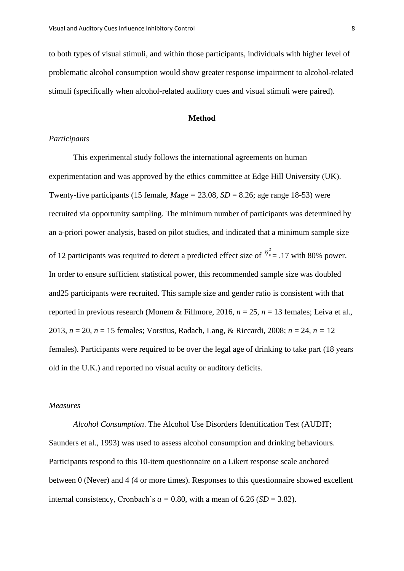to both types of visual stimuli, and within those participants, individuals with higher level of problematic alcohol consumption would show greater response impairment to alcohol-related stimuli (specifically when alcohol-related auditory cues and visual stimuli were paired).

#### **Method**

#### *Participants*

This experimental study follows the international agreements on human experimentation and was approved by the ethics committee at Edge Hill University (UK). Twenty-five participants (15 female,  $Mage = 23.08$ ,  $SD = 8.26$ ; age range 18-53) were recruited via opportunity sampling. The minimum number of participants was determined by an a-priori power analysis, based on pilot studies, and indicated that a minimum sample size of 12 participants was required to detect a predicted effect size of  $\eta^2 = 0.17$  with 80% power. In order to ensure sufficient statistical power, this recommended sample size was doubled and25 participants were recruited. This sample size and gender ratio is consistent with that reported in previous research (Monem & Fillmore, 2016, *n* = 25, *n* = 13 females; Leiva et al., 2013, *n* = 20, *n* = 15 females; Vorstius, Radach, Lang, & Riccardi, 2008; *n* = 24, *n =* 12 females). Participants were required to be over the legal age of drinking to take part (18 years old in the U.K.) and reported no visual acuity or auditory deficits.

# *Measures*

*Alcohol Consumption*. The Alcohol Use Disorders Identification Test (AUDIT; Saunders et al., 1993) was used to assess alcohol consumption and drinking behaviours. Participants respond to this 10-item questionnaire on a Likert response scale anchored between 0 (Never) and 4 (4 or more times). Responses to this questionnaire showed excellent internal consistency, Cronbach's  $a = 0.80$ , with a mean of  $6.26$  (*SD* = 3.82).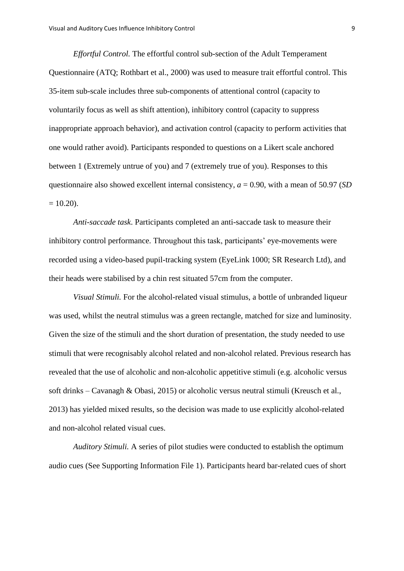*Effortful Control.* The effortful control sub-section of the Adult Temperament Questionnaire (ATQ; Rothbart et al., 2000) was used to measure trait effortful control. This 35-item sub-scale includes three sub-components of attentional control (capacity to voluntarily focus as well as shift attention), inhibitory control (capacity to suppress inappropriate approach behavior), and activation control (capacity to perform activities that one would rather avoid). Participants responded to questions on a Likert scale anchored between 1 (Extremely untrue of you) and 7 (extremely true of you). Responses to this questionnaire also showed excellent internal consistency, *a* = 0.90, with a mean of 50.97 (*SD*  $= 10.20$ ).

*Anti-saccade task*. Participants completed an anti-saccade task to measure their inhibitory control performance. Throughout this task, participants' eye-movements were recorded using a video-based pupil-tracking system (EyeLink 1000; SR Research Ltd), and their heads were stabilised by a chin rest situated 57cm from the computer.

*Visual Stimuli.* For the alcohol-related visual stimulus, a bottle of unbranded liqueur was used, whilst the neutral stimulus was a green rectangle, matched for size and luminosity. Given the size of the stimuli and the short duration of presentation, the study needed to use stimuli that were recognisably alcohol related and non-alcohol related. Previous research has revealed that the use of alcoholic and non-alcoholic appetitive stimuli (e.g. alcoholic versus soft drinks – Cavanagh & Obasi, 2015) or alcoholic versus neutral stimuli (Kreusch et al., 2013) has yielded mixed results, so the decision was made to use explicitly alcohol-related and non-alcohol related visual cues.

*Auditory Stimuli.* A series of pilot studies were conducted to establish the optimum audio cues (See Supporting Information File 1). Participants heard bar-related cues of short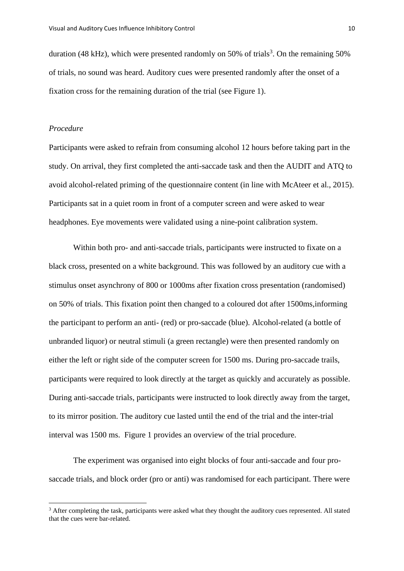duration (48 kHz), which were presented randomly on 50% of trials<sup>3</sup>. On the remaining 50% of trials, no sound was heard. Auditory cues were presented randomly after the onset of a fixation cross for the remaining duration of the trial (see Figure 1).

#### *Procedure*

Participants were asked to refrain from consuming alcohol 12 hours before taking part in the study. On arrival, they first completed the anti-saccade task and then the AUDIT and ATQ to avoid alcohol-related priming of the questionnaire content (in line with McAteer et al., 2015). Participants sat in a quiet room in front of a computer screen and were asked to wear headphones. Eye movements were validated using a nine-point calibration system.

Within both pro- and anti-saccade trials, participants were instructed to fixate on a black cross, presented on a white background. This was followed by an auditory cue with a stimulus onset asynchrony of 800 or 1000ms after fixation cross presentation (randomised) on 50% of trials. This fixation point then changed to a coloured dot after 1500ms,informing the participant to perform an anti- (red) or pro-saccade (blue). Alcohol-related (a bottle of unbranded liquor) or neutral stimuli (a green rectangle) were then presented randomly on either the left or right side of the computer screen for 1500 ms. During pro-saccade trails, participants were required to look directly at the target as quickly and accurately as possible. During anti-saccade trials, participants were instructed to look directly away from the target, to its mirror position. The auditory cue lasted until the end of the trial and the inter-trial interval was 1500 ms. Figure 1 provides an overview of the trial procedure.

The experiment was organised into eight blocks of four anti-saccade and four prosaccade trials, and block order (pro or anti) was randomised for each participant. There were

<sup>&</sup>lt;sup>3</sup> After completing the task, participants were asked what they thought the auditory cues represented. All stated that the cues were bar-related.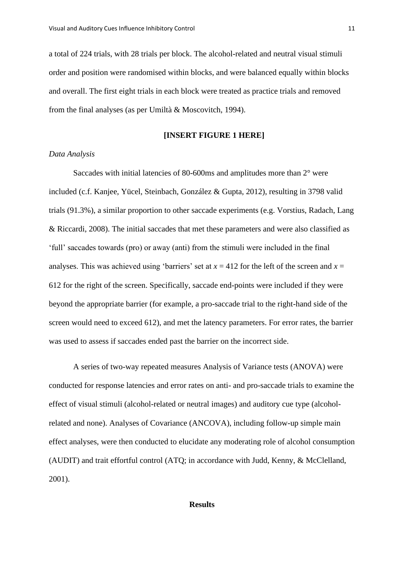a total of 224 trials, with 28 trials per block. The alcohol-related and neutral visual stimuli order and position were randomised within blocks, and were balanced equally within blocks and overall. The first eight trials in each block were treated as practice trials and removed from the final analyses (as per Umiltà & Moscovitch, 1994).

#### **[INSERT FIGURE 1 HERE]**

# *Data Analysis*

Saccades with initial latencies of 80-600ms and amplitudes more than 2° were included (c.f. Kanjee, Yücel, Steinbach, González & Gupta, 2012), resulting in 3798 valid trials (91.3%), a similar proportion to other saccade experiments (e.g. Vorstius, Radach, Lang & Riccardi, 2008). The initial saccades that met these parameters and were also classified as 'full' saccades towards (pro) or away (anti) from the stimuli were included in the final analyses. This was achieved using 'barriers' set at  $x = 412$  for the left of the screen and  $x =$ 612 for the right of the screen. Specifically, saccade end-points were included if they were beyond the appropriate barrier (for example, a pro-saccade trial to the right-hand side of the screen would need to exceed 612), and met the latency parameters. For error rates, the barrier was used to assess if saccades ended past the barrier on the incorrect side.

A series of two-way repeated measures Analysis of Variance tests (ANOVA) were conducted for response latencies and error rates on anti- and pro-saccade trials to examine the effect of visual stimuli (alcohol-related or neutral images) and auditory cue type (alcoholrelated and none). Analyses of Covariance (ANCOVA), including follow-up simple main effect analyses, were then conducted to elucidate any moderating role of alcohol consumption (AUDIT) and trait effortful control (ATQ; in accordance with Judd, Kenny, & McClelland, 2001).

## **Results**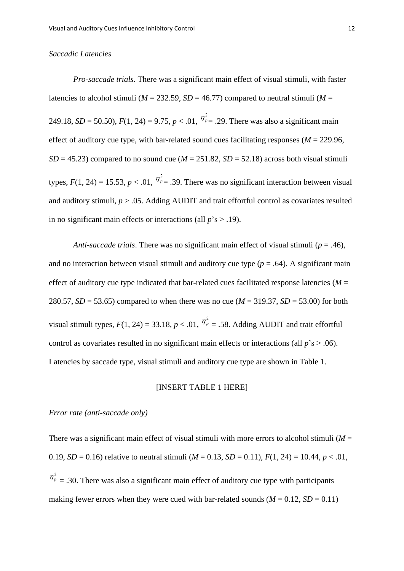#### *Saccadic Latencies*

*Pro-saccade trials*. There was a significant main effect of visual stimuli, with faster latencies to alcohol stimuli ( $M = 232.59$ ,  $SD = 46.77$ ) compared to neutral stimuli ( $M =$ 249.18, *SD* = 50.50),  $F(1, 24) = 9.75$ ,  $p < .01$ ,  $\frac{\eta_p^2}{r} = .29$ . There was also a significant main effect of auditory cue type, with bar-related sound cues facilitating responses ( $M = 229.96$ ,  $SD = 45.23$ ) compared to no sound cue ( $M = 251.82$ ,  $SD = 52.18$ ) across both visual stimuli types,  $F(1, 24) = 15.53$ ,  $p < 0.01$ ,  $\frac{\eta_p^2}{r} = 0.39$ . There was no significant interaction between visual and auditory stimuli,  $p > 0.05$ . Adding AUDIT and trait effortful control as covariates resulted in no significant main effects or interactions (all  $p's > .19$ ).

*Anti-saccade trials*. There was no significant main effect of visual stimuli (*p* = .46), and no interaction between visual stimuli and auditory cue type  $(p = .64)$ . A significant main effect of auditory cue type indicated that bar-related cues facilitated response latencies ( $M =$ 280.57, *SD* = 53.65) compared to when there was no cue (*M* = 319.37, *SD* = 53.00) for both visual stimuli types,  $F(1, 24) = 33.18$ ,  $p < .01$ ,  $\eta_p^2 = .58$ . Adding AUDIT and trait effortful control as covariates resulted in no significant main effects or interactions (all *p*'s > .06). Latencies by saccade type, visual stimuli and auditory cue type are shown in Table 1.

#### [INSERT TABLE 1 HERE]

## *Error rate (anti-saccade only)*

There was a significant main effect of visual stimuli with more errors to alcohol stimuli  $(M =$ 0.19, *SD* = 0.16) relative to neutral stimuli ( $M = 0.13$ , *SD* = 0.11),  $F(1, 24) = 10.44$ ,  $p < .01$ ,  $\eta_{p}^{2} = 0.30$ . There was also a significant main effect of auditory cue type with participants making fewer errors when they were cued with bar-related sounds ( $M = 0.12$ ,  $SD = 0.11$ )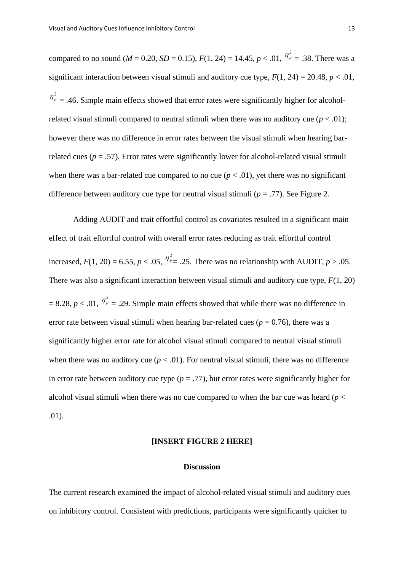compared to no sound ( $M = 0.20$ ,  $SD = 0.15$ ),  $F(1, 24) = 14.45$ ,  $p < .01$ ,  $\frac{\eta_p^2}{r} = .38$ . There was a significant interaction between visual stimuli and auditory cue type,  $F(1, 24) = 20.48$ ,  $p < .01$ ,  $\eta_p^2$  = .46. Simple main effects showed that error rates were significantly higher for alcoholrelated visual stimuli compared to neutral stimuli when there was no auditory cue  $(p < .01)$ ; however there was no difference in error rates between the visual stimuli when hearing barrelated cues ( $p = .57$ ). Error rates were significantly lower for alcohol-related visual stimuli when there was a bar-related cue compared to no cue  $(p < .01)$ , yet there was no significant difference between auditory cue type for neutral visual stimuli ( $p = .77$ ). See Figure 2.

Adding AUDIT and trait effortful control as covariates resulted in a significant main effect of trait effortful control with overall error rates reducing as trait effortful control increased,  $F(1, 20) = 6.55$ ,  $p < .05$ ,  $\frac{\eta_p^2}{\eta_p^2} = .25$ . There was no relationship with AUDIT,  $p > .05$ . There was also a significant interaction between visual stimuli and auditory cue type, *F*(1, 20)  $= 8.28$ ,  $p < .01$ ,  $\frac{\eta_p^2}{r} = .29$ . Simple main effects showed that while there was no difference in error rate between visual stimuli when hearing bar-related cues ( $p = 0.76$ ), there was a significantly higher error rate for alcohol visual stimuli compared to neutral visual stimuli when there was no auditory cue  $(p < .01)$ . For neutral visual stimuli, there was no difference in error rate between auditory cue type  $(p = .77)$ , but error rates were significantly higher for alcohol visual stimuli when there was no cue compared to when the bar cue was heard ( $p <$ .01).

# **[INSERT FIGURE 2 HERE]**

#### **Discussion**

The current research examined the impact of alcohol-related visual stimuli and auditory cues on inhibitory control. Consistent with predictions, participants were significantly quicker to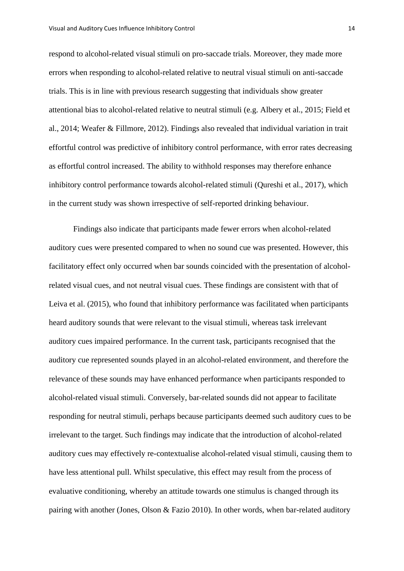respond to alcohol-related visual stimuli on pro-saccade trials. Moreover, they made more errors when responding to alcohol-related relative to neutral visual stimuli on anti-saccade trials. This is in line with previous research suggesting that individuals show greater attentional bias to alcohol-related relative to neutral stimuli (e.g. Albery et al., 2015; Field et al., 2014; Weafer & Fillmore, 2012). Findings also revealed that individual variation in trait effortful control was predictive of inhibitory control performance, with error rates decreasing as effortful control increased. The ability to withhold responses may therefore enhance inhibitory control performance towards alcohol-related stimuli (Qureshi et al., 2017), which in the current study was shown irrespective of self-reported drinking behaviour.

Findings also indicate that participants made fewer errors when alcohol-related auditory cues were presented compared to when no sound cue was presented. However, this facilitatory effect only occurred when bar sounds coincided with the presentation of alcoholrelated visual cues, and not neutral visual cues. These findings are consistent with that of Leiva et al. (2015), who found that inhibitory performance was facilitated when participants heard auditory sounds that were relevant to the visual stimuli, whereas task irrelevant auditory cues impaired performance. In the current task, participants recognised that the auditory cue represented sounds played in an alcohol-related environment, and therefore the relevance of these sounds may have enhanced performance when participants responded to alcohol-related visual stimuli. Conversely, bar-related sounds did not appear to facilitate responding for neutral stimuli, perhaps because participants deemed such auditory cues to be irrelevant to the target. Such findings may indicate that the introduction of alcohol-related auditory cues may effectively re-contextualise alcohol-related visual stimuli, causing them to have less attentional pull. Whilst speculative, this effect may result from the process of evaluative conditioning, whereby an attitude towards one stimulus is changed through its pairing with another (Jones, Olson & Fazio 2010). In other words, when bar-related auditory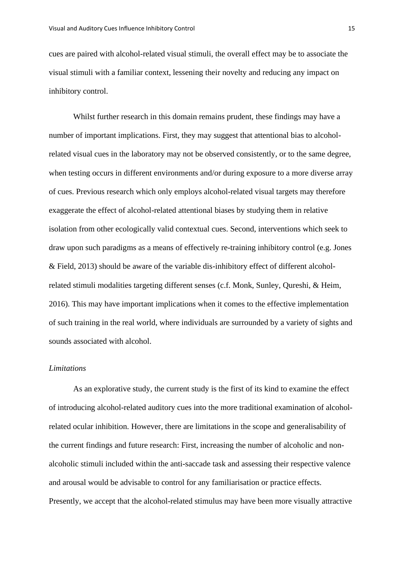cues are paired with alcohol-related visual stimuli, the overall effect may be to associate the visual stimuli with a familiar context, lessening their novelty and reducing any impact on inhibitory control.

Whilst further research in this domain remains prudent, these findings may have a number of important implications. First, they may suggest that attentional bias to alcoholrelated visual cues in the laboratory may not be observed consistently, or to the same degree, when testing occurs in different environments and/or during exposure to a more diverse array of cues. Previous research which only employs alcohol-related visual targets may therefore exaggerate the effect of alcohol-related attentional biases by studying them in relative isolation from other ecologically valid contextual cues. Second, interventions which seek to draw upon such paradigms as a means of effectively re-training inhibitory control (e.g. Jones & Field, 2013) should be aware of the variable dis-inhibitory effect of different alcoholrelated stimuli modalities targeting different senses (c.f. Monk, Sunley, Qureshi, & Heim, 2016). This may have important implications when it comes to the effective implementation of such training in the real world, where individuals are surrounded by a variety of sights and sounds associated with alcohol.

# *Limitations*

As an explorative study, the current study is the first of its kind to examine the effect of introducing alcohol-related auditory cues into the more traditional examination of alcoholrelated ocular inhibition. However, there are limitations in the scope and generalisability of the current findings and future research: First, increasing the number of alcoholic and nonalcoholic stimuli included within the anti-saccade task and assessing their respective valence and arousal would be advisable to control for any familiarisation or practice effects. Presently, we accept that the alcohol-related stimulus may have been more visually attractive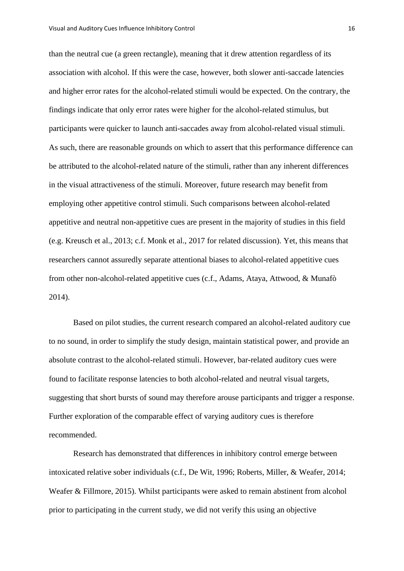than the neutral cue (a green rectangle), meaning that it drew attention regardless of its association with alcohol. If this were the case, however, both slower anti-saccade latencies and higher error rates for the alcohol-related stimuli would be expected. On the contrary, the findings indicate that only error rates were higher for the alcohol-related stimulus, but participants were quicker to launch anti-saccades away from alcohol-related visual stimuli. As such, there are reasonable grounds on which to assert that this performance difference can be attributed to the alcohol-related nature of the stimuli, rather than any inherent differences in the visual attractiveness of the stimuli. Moreover, future research may benefit from employing other appetitive control stimuli. Such comparisons between alcohol-related appetitive and neutral non-appetitive cues are present in the majority of studies in this field (e.g. Kreusch et al., 2013; c.f. Monk et al., 2017 for related discussion). Yet, this means that researchers cannot assuredly separate attentional biases to alcohol-related appetitive cues from other non-alcohol-related appetitive cues (c.f., Adams, Ataya, Attwood, & Munafò 2014).

Based on pilot studies, the current research compared an alcohol-related auditory cue to no sound, in order to simplify the study design, maintain statistical power, and provide an absolute contrast to the alcohol-related stimuli. However, bar-related auditory cues were found to facilitate response latencies to both alcohol-related and neutral visual targets, suggesting that short bursts of sound may therefore arouse participants and trigger a response. Further exploration of the comparable effect of varying auditory cues is therefore recommended.

Research has demonstrated that differences in inhibitory control emerge between intoxicated relative sober individuals (c.f., De Wit, 1996; Roberts, Miller, & Weafer, 2014; Weafer & Fillmore, 2015). Whilst participants were asked to remain abstinent from alcohol prior to participating in the current study, we did not verify this using an objective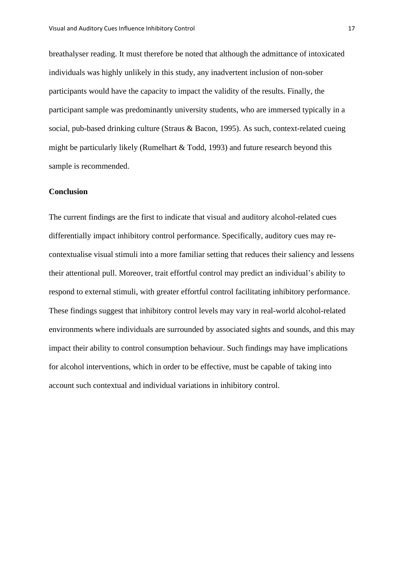breathalyser reading. It must therefore be noted that although the admittance of intoxicated individuals was highly unlikely in this study, any inadvertent inclusion of non-sober participants would have the capacity to impact the validity of the results*.* Finally, the participant sample was predominantly university students, who are immersed typically in a social, pub-based drinking culture (Straus & Bacon, 1995). As such, context-related cueing might be particularly likely (Rumelhart & Todd, 1993) and future research beyond this sample is recommended.

# **Conclusion**

The current findings are the first to indicate that visual and auditory alcohol-related cues differentially impact inhibitory control performance. Specifically, auditory cues may recontextualise visual stimuli into a more familiar setting that reduces their saliency and lessens their attentional pull. Moreover, trait effortful control may predict an individual's ability to respond to external stimuli, with greater effortful control facilitating inhibitory performance. These findings suggest that inhibitory control levels may vary in real-world alcohol-related environments where individuals are surrounded by associated sights and sounds, and this may impact their ability to control consumption behaviour. Such findings may have implications for alcohol interventions, which in order to be effective, must be capable of taking into account such contextual and individual variations in inhibitory control.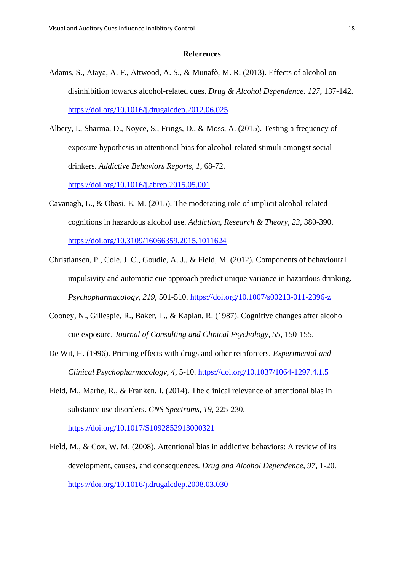#### **References**

- Adams, S., Ataya, A. F., Attwood, A. S., & Munafò, M. R. (2013). Effects of alcohol on disinhibition towards alcohol-related cues. *Drug & Alcohol Dependence. 127*, 137-142. <https://doi.org/10.1016/j.drugalcdep.2012.06.025>
- Albery, I., Sharma, D., Noyce, S., Frings, D., & Moss, A. (2015). Testing a frequency of exposure hypothesis in attentional bias for alcohol-related stimuli amongst social drinkers. *Addictive Behaviors Reports*, *1*, 68-72. <https://doi.org/10.1016/j.abrep.2015.05.001>
- Cavanagh, L., & Obasi, E. M. (2015). The moderating role of implicit alcohol-related cognitions in hazardous alcohol use. *Addiction, Research & Theory, 23,* 380-390. <https://doi.org/10.3109/16066359.2015.1011624>
- Christiansen, P., Cole, J. C., Goudie, A. J., & Field, M. (2012). Components of behavioural impulsivity and automatic cue approach predict unique variance in hazardous drinking. *Psychopharmacology, 219*, 501-510.<https://doi.org/10.1007/s00213-011-2396-z>
- Cooney, N., Gillespie, R., Baker, L., & Kaplan, R. (1987). Cognitive changes after alcohol cue exposure. *Journal of Consulting and Clinical Psychology, 55*, 150-155.
- De Wit, H. (1996). Priming effects with drugs and other reinforcers. *Experimental and Clinical Psychopharmacology, 4*, 5-10. <https://doi.org/10.1037/1064-1297.4.1.5>
- Field, M., Marhe, R., & Franken, I. (2014). The clinical relevance of attentional bias in substance use disorders. *CNS Spectrums*, *19*, 225-230.

<https://doi.org/10.1017/S1092852913000321>

Field, M., & Cox, W. M. (2008). Attentional bias in addictive behaviors: A review of its development, causes, and consequences. *Drug and Alcohol Dependence, 97,* 1-20. <https://doi.org/10.1016/j.drugalcdep.2008.03.030>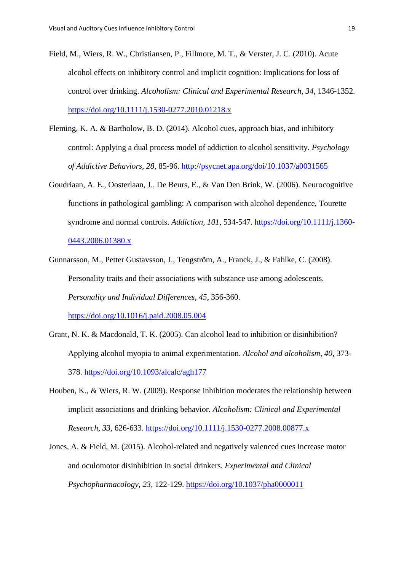- Field, M., Wiers, R. W., Christiansen, P., Fillmore, M. T., & Verster, J. C. (2010). Acute alcohol effects on inhibitory control and implicit cognition: Implications for loss of control over drinking. *Alcoholism: Clinical and Experimental Research*, *34*, 1346-1352. <https://doi.org/10.1111/j.1530-0277.2010.01218.x>
- Fleming, K. A. & Bartholow, B. D. (2014). Alcohol cues, approach bias, and inhibitory control: Applying a dual process model of addiction to alcohol sensitivity*. Psychology of Addictive Behaviors, 28*, 85-96. <http://psycnet.apa.org/doi/10.1037/a0031565>
- Goudriaan, A. E., Oosterlaan, J., De Beurs, E., & Van Den Brink, W. (2006). Neurocognitive functions in pathological gambling: A comparison with alcohol dependence, Tourette syndrome and normal controls. *Addiction, 101*, 534-547. [https://doi.org/10.1111/j.1360-](https://doi.org/10.1111/j.1360-0443.2006.01380.x) [0443.2006.01380.x](https://doi.org/10.1111/j.1360-0443.2006.01380.x)
- Gunnarsson, M., Petter Gustavsson, J., Tengström, A., Franck, J., & Fahlke, C. (2008). Personality traits and their associations with substance use among adolescents. *Personality and Individual Differences, 45*, 356-360. <https://doi.org/10.1016/j.paid.2008.05.004>
- Grant, N. K. & Macdonald, T. K. (2005). Can alcohol lead to inhibition or disinhibition? Applying alcohol myopia to animal experimentation. *Alcohol and alcoholism*, *40*, 373- 378. <https://doi.org/10.1093/alcalc/agh177>
- Houben, K., & Wiers, R. W. (2009). Response inhibition moderates the relationship between implicit associations and drinking behavior. *Alcoholism: Clinical and Experimental Research, 33*, 626-633.<https://doi.org/10.1111/j.1530-0277.2008.00877.x>
- Jones, A. & Field, M. (2015). Alcohol-related and negatively valenced cues increase motor and oculomotor disinhibition in social drinkers. *Experimental and Clinical Psychopharmacology*, *23*, 122-129. <https://doi.org/10.1037/pha0000011>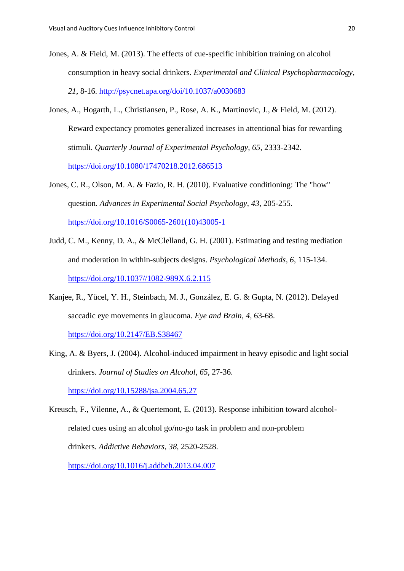- Jones, A. & Field, M. (2013). The effects of cue-specific inhibition training on alcohol consumption in heavy social drinkers. *Experimental and Clinical Psychopharmacology*, *21*, 8-16. <http://psycnet.apa.org/doi/10.1037/a0030683>
- Jones, A., Hogarth, L., Christiansen, P., Rose, A. K., Martinovic, J., & Field, M. (2012). Reward expectancy promotes generalized increases in attentional bias for rewarding stimuli. *Quarterly Journal of Experimental Psychology, 65,* 2333-2342. <https://doi.org/10.1080/17470218.2012.686513>
- Jones, C. R., Olson, M. A. & Fazio, R. H. (2010). Evaluative conditioning: The "how" question. *Advances in Experimental Social Psychology, 43*, 205-255. [https://doi.org/10.1016/S0065-2601\(10\)43005-1](https://doi.org/10.1016/S0065-2601(10)43005-1)
- Judd, C. M., Kenny, D. A., & McClelland, G. H. (2001). Estimating and testing mediation and moderation in within-subjects designs. *Psychological Methods*, *6*, 115-134. [https://doi.org/10.1037//1082-989X.6.2.115](https://doi.org/10.1037/1082-989X.6.2.115)
- Kanjee, R., Yücel, Y. H., Steinbach, M. J., González, E. G. & Gupta, N. (2012). Delayed saccadic eye movements in glaucoma. *Eye and Brain, 4,* 63-68.

<https://doi.org/10.2147/EB.S38467>

King, A. & Byers, J. (2004). Alcohol-induced impairment in heavy episodic and light social drinkers. *Journal of Studies on Alcohol*, *65*, 27-36.

<https://doi.org/10.15288/jsa.2004.65.27>

Kreusch, F., Vilenne, A., & Quertemont, E. (2013). Response inhibition toward alcoholrelated cues using an alcohol go/no-go task in problem and non-problem drinkers. *Addictive Behaviors*, *38*, 2520-2528. <https://doi.org/10.1016/j.addbeh.2013.04.007>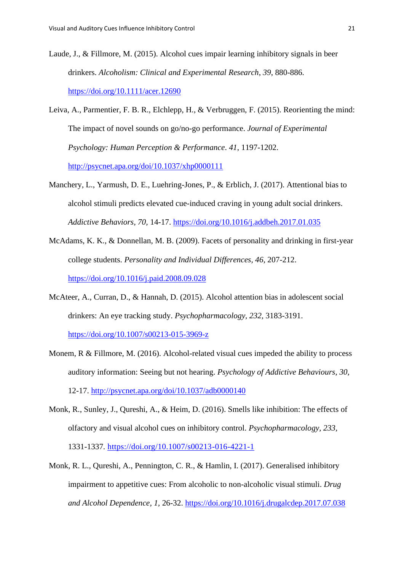- Laude, J., & Fillmore, M. (2015). Alcohol cues impair learning inhibitory signals in beer drinkers. *Alcoholism: Clinical and Experimental Research*, *39*, 880-886. <https://doi.org/10.1111/acer.12690>
- Leiva, A., Parmentier, F. B. R., Elchlepp, H., & Verbruggen, F. (2015). Reorienting the mind: The impact of novel sounds on go/no-go performance. *Journal of Experimental Psychology: Human Perception & Performance*. *41*, 1197-1202. <http://psycnet.apa.org/doi/10.1037/xhp0000111>
- Manchery, L., Yarmush, D. E., Luehring-Jones, P., & Erblich, J. (2017). Attentional bias to alcohol stimuli predicts elevated cue-induced craving in young adult social drinkers. *Addictive Behaviors, 70,* 14-17.<https://doi.org/10.1016/j.addbeh.2017.01.035>
- McAdams, K. K., & Donnellan, M. B. (2009). Facets of personality and drinking in first-year college students. *Personality and Individual Differences, 46*, 207-212. <https://doi.org/10.1016/j.paid.2008.09.028>
- McAteer, A., Curran, D., & Hannah, D. (2015). Alcohol attention bias in adolescent social drinkers: An eye tracking study. *Psychopharmacology, 232,* 3183-3191. <https://doi.org/10.1007/s00213-015-3969-z>
- Monem, R & Fillmore, M. (2016). Alcohol-related visual cues impeded the ability to process auditory information: Seeing but not hearing. *Psychology of Addictive Behaviours*, *30*, 12-17. <http://psycnet.apa.org/doi/10.1037/adb0000140>
- Monk, R., Sunley, J., Qureshi, A., & Heim, D. (2016). Smells like inhibition: The effects of olfactory and visual alcohol cues on inhibitory control. *Psychopharmacology, 233,* 1331-1337*.* <https://doi.org/10.1007/s00213-016-4221-1>
- Monk, R. L., Qureshi, A., Pennington, C. R., & Hamlin, I. (2017). Generalised inhibitory impairment to appetitive cues: From alcoholic to non-alcoholic visual stimuli. *Drug and Alcohol Dependence, 1,* 26-32. <https://doi.org/10.1016/j.drugalcdep.2017.07.038>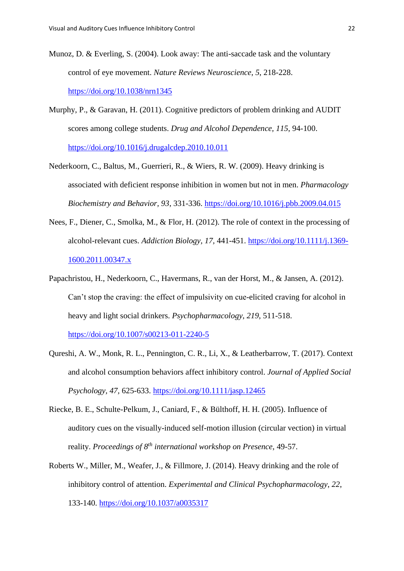- Munoz, D. & Everling, S. (2004). Look away: The anti-saccade task and the voluntary control of eye movement. *Nature Reviews Neuroscience*, *5*, 218-228. <https://doi.org/10.1038/nrn1345>
- Murphy, P., & Garavan, H. (2011). Cognitive predictors of problem drinking and AUDIT scores among college students. *Drug and Alcohol Dependence, 115*, 94-100. <https://doi.org/10.1016/j.drugalcdep.2010.10.011>
- Nederkoorn, C., Baltus, M., Guerrieri, R., & Wiers, R. W. (2009). Heavy drinking is associated with deficient response inhibition in women but not in men. *Pharmacology Biochemistry and Behavior, 93*, 331-336.<https://doi.org/10.1016/j.pbb.2009.04.015>
- Nees, F., Diener, C., Smolka, M., & Flor, H. (2012). The role of context in the processing of alcohol-relevant cues. *Addiction Biology, 17,* 441-451. [https://doi.org/10.1111/j.1369-](https://doi.org/10.1111/j.1369-1600.2011.00347.x) [1600.2011.00347.x](https://doi.org/10.1111/j.1369-1600.2011.00347.x)
- Papachristou, H., Nederkoorn, C., Havermans, R., van der Horst, M., & Jansen, A. (2012). Can't stop the craving: the effect of impulsivity on cue-elicited craving for alcohol in heavy and light social drinkers. *Psychopharmacology*, *219*, 511-518.

<https://doi.org/10.1007/s00213-011-2240-5>

- Qureshi, A. W., Monk, R. L., Pennington, C. R., Li, X., & Leatherbarrow, T. (2017). Context and alcohol consumption behaviors affect inhibitory control. *Journal of Applied Social Psychology, 47,* 625-633. <https://doi.org/10.1111/jasp.12465>
- Riecke, B. E., Schulte-Pelkum, J., Caniard, F., & Bülthoff, H. H. (2005). Influence of auditory cues on the visually-induced self-motion illusion (circular vection) in virtual reality. *Proceedings of 8th international workshop on Presence*, 49-57.
- Roberts W., Miller, M., Weafer, J., & Fillmore, J. (2014). Heavy drinking and the role of inhibitory control of attention. *Experimental and Clinical Psychopharmacology*, *22*, 133-140. <https://doi.org/10.1037/a0035317>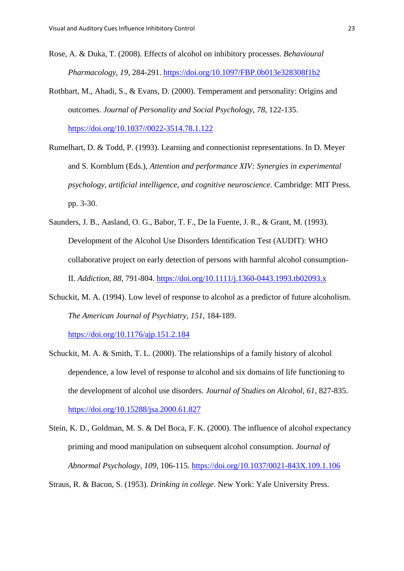- Rose, A. & Duka, T. (2008). Effects of alcohol on inhibitory processes. *Behavioural Pharmacology*, *19*, 284-291. <https://doi.org/10.1097/FBP.0b013e328308f1b2>
- Rothbart, M., Ahadi, S., & Evans, D. (2000). Temperament and personality: Origins and outcomes. *Journal of Personality and Social Psychology*, *78*, 122-135. [https://doi.org/10.1037//0022-3514.78.1.122](https://doi.org/10.1037/0022-3514.78.1.122)
- Rumelhart, D. & Todd, P. (1993). Learning and connectionist representations. In D. Meyer and S. Kornblum (Eds.), *Attention and performance XIV: Synergies in experimental psychology, artificial intelligence, and cognitive neuroscience*. Cambridge: MIT Press. pp. 3-30.
- Saunders, J. B., Aasland, O. G., Babor, T. F., De la Fuente, J. R., & Grant, M. (1993). Development of the Alcohol Use Disorders Identification Test (AUDIT): WHO collaborative project on early detection of persons with harmful alcohol consumption-II. *Addiction, 88,* 791-804.<https://doi.org/10.1111/j.1360-0443.1993.tb02093.x>
- Schuckit, M. A. (1994). Low level of response to alcohol as a predictor of future alcoholism. *The American Journal of Psychiatry*, *151*, 184-189.

<https://doi.org/10.1176/ajp.151.2.184>

- Schuckit, M. A. & Smith, T. L. (2000). The relationships of a family history of alcohol dependence, a low level of response to alcohol and six domains of life functioning to the development of alcohol use disorders. *Journal of Studies on Alcohol, 61*, 827-835. <https://doi.org/10.15288/jsa.2000.61.827>
- Stein, K. D., Goldman, M. S. & Del Boca, F. K. (2000). The influence of alcohol expectancy priming and mood manipulation on subsequent alcohol consumption. *Journal of Abnormal Psychology*, *109*, 106-115. <https://doi.org/10.1037/0021-843X.109.1.106>

Straus, R. & Bacon, S. (1953). *Drinking in college*. New York: Yale University Press.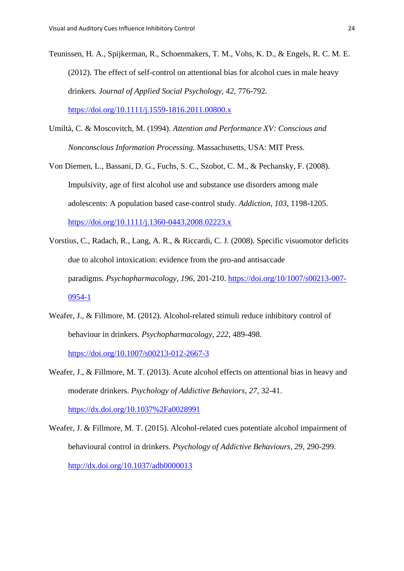- Teunissen, H. A., Spijkerman, R., Schoenmakers, T. M., Vohs, K. D., & Engels, R. C. M. E. (2012). The effect of self-control on attentional bias for alcohol cues in male heavy drinkers. *Journal of Applied Social Psychology, 42,* 776-792. <https://doi.org/10.1111/j.1559-1816.2011.00800.x>
- Umiltà, C. & Moscovitch, M. (1994). *Attention and Performance XV: Conscious and Nonconscious Information Processing.* Massachusetts, USA: MIT Press.
- Von Diemen, L., Bassani, D. G., Fuchs, S. C., Szobot, C. M., & Pechansky, F. (2008). Impulsivity, age of first alcohol use and substance use disorders among male adolescents: A population based case-control study. *Addiction, 103*, 1198-1205. <https://doi.org/10.1111/j.1360-0443.2008.02223.x>
- Vorstius, C., Radach, R., Lang, A. R., & Riccardi, C. J. (2008). Specific visuomotor deficits due to alcohol intoxication: evidence from the pro-and antisaccade paradigms. *Psychopharmacology*, *196*, 201-210. [https://doi.org/10/1007/s00213-007-](https://doi.org/10/1007/s00213-007-0954-1) [0954-1](https://doi.org/10/1007/s00213-007-0954-1)
- Weafer, J., & Fillmore, M. (2012). Alcohol-related stimuli reduce inhibitory control of behaviour in drinkers. *Psychopharmacology, 222,* 489-498. <https://doi.org/10.1007/s00213-012-2667-3>
- Weafer, J., & Fillmore, M. T. (2013). Acute alcohol effects on attentional bias in heavy and moderate drinkers. *Psychology of Addictive Behaviors, 27*, 32-41. <https://dx.doi.org/10.1037%2Fa0028991>
- Weafer, J. & Fillmore, M. T. (2015). Alcohol-related cues potentiate alcohol impairment of behavioural control in drinkers. *Psychology of Addictive Behaviours, 29,* 290-299. <http://dx.doi.org/10.1037/adb0000013>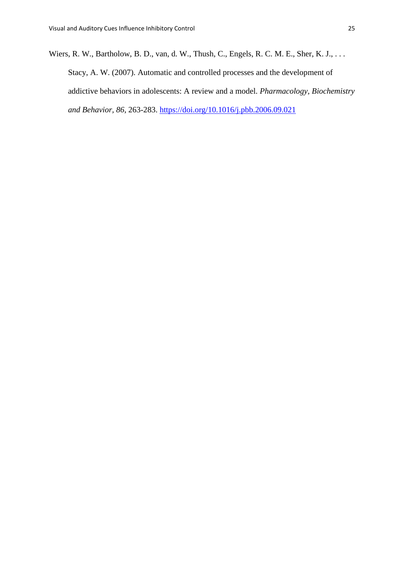Wiers, R. W., Bartholow, B. D., van, d. W., Thush, C., Engels, R. C. M. E., Sher, K. J., . . . Stacy, A. W. (2007). Automatic and controlled processes and the development of addictive behaviors in adolescents: A review and a model. *Pharmacology, Biochemistry and Behavior, 86*, 263-283.<https://doi.org/10.1016/j.pbb.2006.09.021>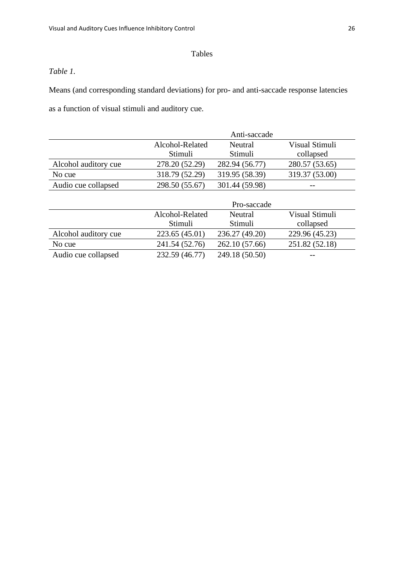# Tables

# *Table 1.*

Means (and corresponding standard deviations) for pro- and anti-saccade response latencies as a function of visual stimuli and auditory cue.

|                      | Anti-saccade    |                |                |
|----------------------|-----------------|----------------|----------------|
|                      | Alcohol-Related | Neutral        | Visual Stimuli |
|                      | Stimuli         | Stimuli        | collapsed      |
| Alcohol auditory cue | 278.20 (52.29)  | 282.94 (56.77) | 280.57 (53.65) |
| No cue               | 318.79 (52.29)  | 319.95 (58.39) | 319.37 (53.00) |
| Audio cue collapsed  | 298.50 (55.67)  | 301.44 (59.98) | $- -$          |

|                      | Pro-saccade     |                |                |
|----------------------|-----------------|----------------|----------------|
|                      | Alcohol-Related | Neutral        | Visual Stimuli |
|                      | Stimuli         | Stimuli        | collapsed      |
| Alcohol auditory cue | 223.65 (45.01)  | 236.27 (49.20) | 229.96 (45.23) |
| No cue               | 241.54 (52.76)  | 262.10 (57.66) | 251.82 (52.18) |
| Audio cue collapsed  | 232.59 (46.77)  | 249.18 (50.50) | $- -$          |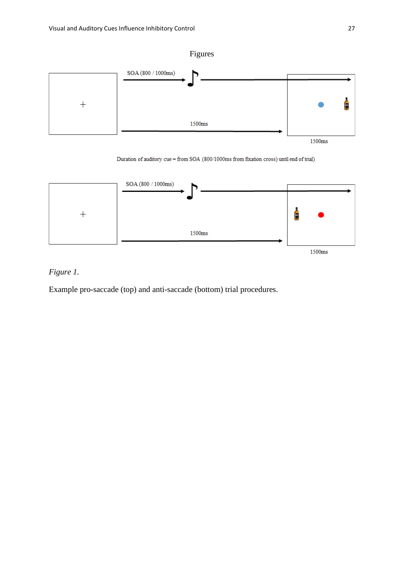

Duration of auditory cue = from SOA (800/1000ms from fixation cross) until end of trial)



*Figure 1.*

Example pro-saccade (top) and anti-saccade (bottom) trial procedures.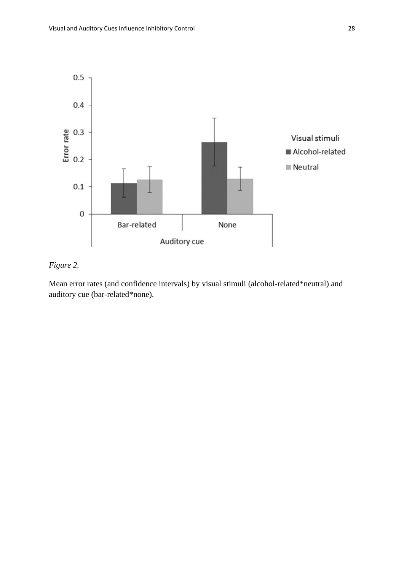

# *Figure 2.*

Mean error rates (and confidence intervals) by visual stimuli (alcohol-related\*neutral) and auditory cue (bar-related\*none).